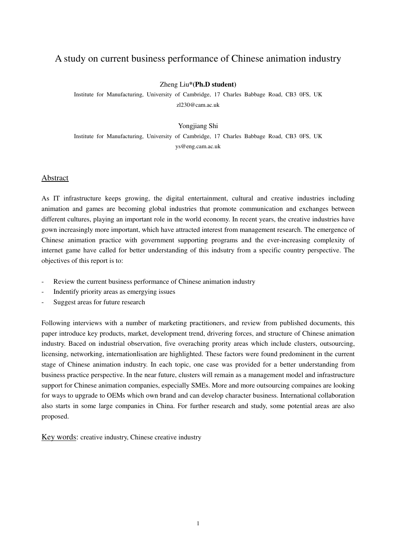## A study on current business performance of Chinese animation industry

#### Zheng Liu**\*(Ph.D student)**

Institute for Manufacturing, University of Cambridge, 17 Charles Babbage Road, CB3 0FS, UK zl230@cam.ac.uk

#### Yongjiang Shi

Institute for Manufacturing, University of Cambridge, 17 Charles Babbage Road, CB3 0FS, UK ys@eng.cam.ac.uk

## Abstract

As IT infrastructure keeps growing, the digital entertainment, cultural and creative industries including animation and games are becoming global industries that promote communication and exchanges between different cultures, playing an important role in the world economy. In recent years, the creative industries have gown increasingly more important, which have attracted interest from management research. The emergence of Chinese animation practice with government supporting programs and the ever-increasing complexity of internet game have called for better understanding of this indsutry from a specific country perspective. The objectives of this report is to:

- Review the current business performance of Chinese animation industry
- Indentify priority areas as emergying issues
- Suggest areas for future research

Following interviews with a number of marketing practitioners, and review from published documents, this paper introduce key products, market, development trend, drivering forces, and structure of Chinese animation industry. Baced on industrial observation, five overaching prority areas which include clusters, outsourcing, licensing, networking, internationlisation are highlighted. These factors were found predominent in the current stage of Chinese animation industry. In each topic, one case was provided for a better understanding from business practice perspective. In the near future, clusters will remain as a management model and infrastructure support for Chinese animation companies, especially SMEs. More and more outsourcing compaines are looking for ways to upgrade to OEMs which own brand and can develop character business. International collaboration also starts in some large companies in China. For further research and study, some potential areas are also proposed.

Key words: creative industry, Chinese creative industry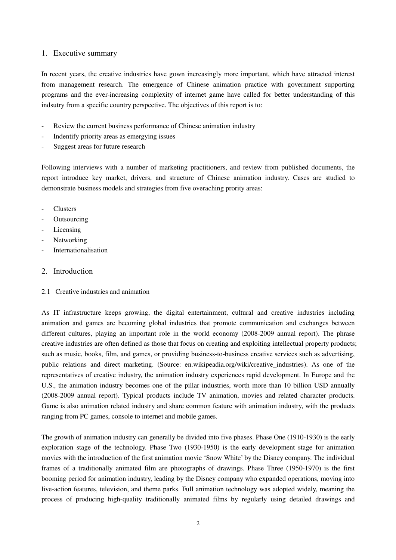## 1. Executive summary

In recent years, the creative industries have gown increasingly more important, which have attracted interest from management research. The emergence of Chinese animation practice with government supporting programs and the ever-increasing complexity of internet game have called for better understanding of this indsutry from a specific country perspective. The objectives of this report is to:

- Review the current business performance of Chinese animation industry
- Indentify priority areas as emergying issues
- Suggest areas for future research

Following interviews with a number of marketing practitioners, and review from published documents, the report introduce key market, drivers, and structure of Chinese animation industry. Cases are studied to demonstrate business models and strategies from five overaching prority areas:

- **Clusters**
- **Outsourcing**
- Licensing
- Networking
- **Internationalisation**

## 2. Introduction

2.1 Creative industries and animation

As IT infrastructure keeps growing, the digital entertainment, cultural and creative industries including animation and games are becoming global industries that promote communication and exchanges between different cultures, playing an important role in the world economy (2008-2009 annual report). The phrase creative industries are often defined as those that focus on creating and exploiting intellectual property products; such as music, books, film, and games, or providing business-to-business creative services such as advertising, public relations and direct marketing. (Source: en.wikipeadia.org/wiki/creative\_industries). As one of the representatives of creative industry, the animation industry experiences rapid development. In Europe and the U.S., the animation industry becomes one of the pillar industries, worth more than 10 billion USD annually (2008-2009 annual report). Typical products include TV animation, movies and related character products. Game is also animation related industry and share common feature with animation industry, with the products ranging from PC games, console to internet and mobile games.

The growth of animation industry can generally be divided into five phases. Phase One (1910-1930) is the early exploration stage of the technology. Phase Two (1930-1950) is the early development stage for animation movies with the introduction of the first animation movie 'Snow White' by the Disney company. The individual frames of a traditionally animated film are photographs of drawings. Phase Three (1950-1970) is the first booming period for animation industry, leading by the Disney company who expanded operations, moving into live-action features, television, and theme parks. Full animation technology was adopted widely, meaning the process of producing high-quality traditionally animated films by regularly using detailed drawings and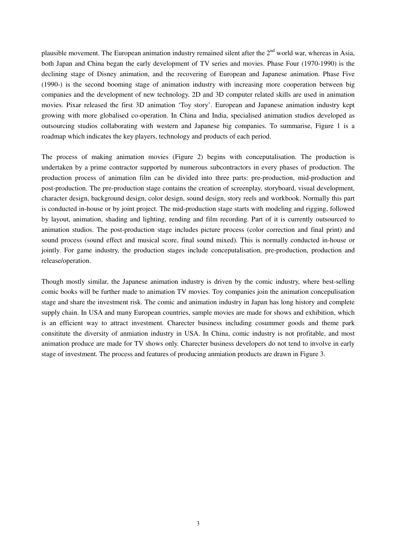plausible movement. The European animation industry remained silent after the  $2<sup>nd</sup>$  world war, whereas in Asia, both Japan and China began the early development of TV series and movies. Phase Four (1970-1990) is the declining stage of Disney animation, and the recovering of European and Japanese animation. Phase Five (1990-) is the second booming stage of animation industry with increasing more cooperation between big companies and the development of new technology. 2D and 3D computer related skills are used in animation movies. Pixar released the first 3D animation 'Toy story'. European and Japanese animation industry kept growing with more globalised co-operation. In China and India, specialised animation studios developed as outsourcing studios collaborating with western and Japanese big companies. To summarise, Figure 1 is a roadmap which indicates the key players, technology and products of each period.

The process of making animation movies (Figure 2) begins with conceputalisation. The production is undertaken by a prime contractor supported by numerous subcontractors in every phases of production. The production process of animation film can be divided into three parts: pre-production, mid-production and post-production. The pre-production stage contains the creation of screenplay, storyboard, visual development, character design, background design, color design, sound design, story reels and workbook. Normally this part is conducted in-house or by joint project. The mid-production stage starts with modeling and rigging, followed by layout, animation, shading and lighting, rending and film recording. Part of it is currently outsourced to animation studios. The post-production stage includes picture process (color correction and final print) and sound process (sound effect and musical score, final sound mixed). This is normally conducted in-house or jointly. For game industry, the production stages include conceputalisation, pre-production, production and release/operation.

Though mostly similar, the Japanese animation industry is driven by the comic industry, where best-selling comic books will be further made to animation TV movies. Toy companies join the animation concepulisation stage and share the investment risk. The comic and animation industry in Japan has long history and complete supply chain. In USA and many European countries, sample movies are made for shows and exhibition, which is an efficient way to attract investment. Charecter business including cosummer goods and theme park consititute the diversity of anmiation industry in USA. In China, comic industry is not profitable, and most animation produce are made for TV shows only. Charecter business developers do not tend to involve in early stage of investment. The process and features of producing anmiation products are drawn in Figure 3.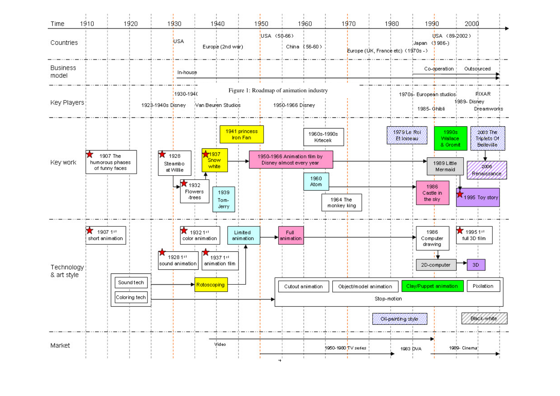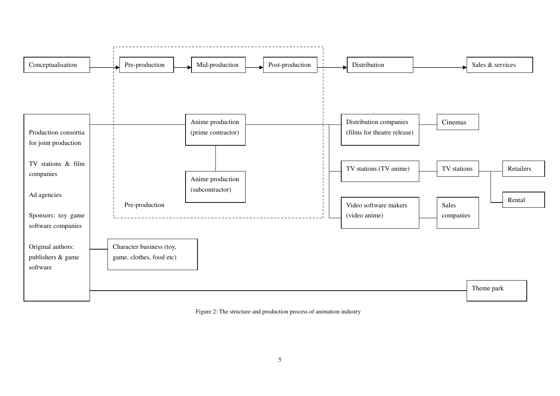

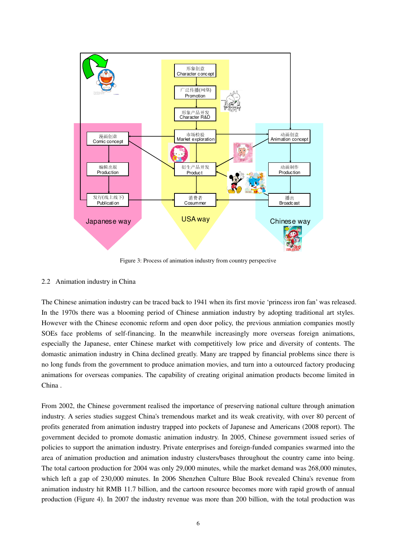

Figure 3: Process of animation industry from country perspective

#### 2.2 Animation industry in China

The Chinese animation industry can be traced back to 1941 when its first movie 'princess iron fan' was released. In the 1970s there was a blooming period of Chinese anmiation industry by adopting traditional art styles. However with the Chinese economic reform and open door policy, the previous anmiation companies mostly SOEs face problems of self-financing. In the meanwhile increasingly more overseas foreign animations, especially the Japanese, enter Chinese market with competitively low price and diversity of contents. The domastic animation industry in China declined greatly. Many are trapped by financial problems since there is no long funds from the government to produce animation movies, and turn into a outourced factory producing animations for overseas companies. The capability of creating original animation products become limited in China .

From 2002, the Chinese government realised the importance of preserving national culture through animation industry. A series studies suggest China's tremendous market and its weak creativity, with over 80 percent of profits generated from animation industry trapped into pockets of Japanese and Americans (2008 report). The government decided to promote domastic animation industry. In 2005, Chinese government issued series of policies to support the animation industry. Private enterprises and foreign-funded companies swarmed into the area of animation production and animation industry clusters/bases throughout the country came into being. The total cartoon production for 2004 was only 29,000 minutes, while the market demand was 268,000 minutes, which left a gap of 230,000 minutes. In 2006 Shenzhen Culture Blue Book revealed China's revenue from animation industry hit RMB 11.7 billion, and the cartoon resource becomes more with rapid growth of annual production (Figure 4). In 2007 the industry revenue was more than 200 billion, with the total production was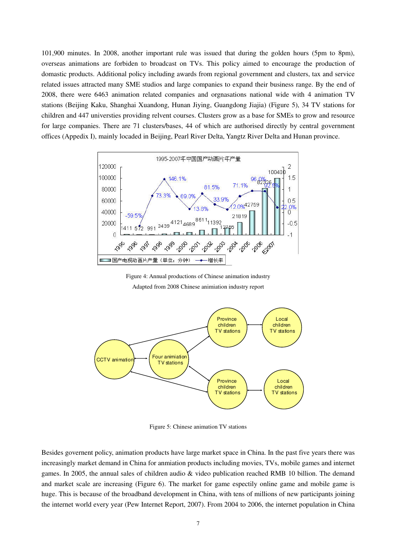101,900 minutes. In 2008, another important rule was issued that during the golden hours (5pm to 8pm), overseas animations are forbiden to broadcast on TVs. This policy aimed to encourage the production of domastic products. Additional policy including awards from regional government and clusters, tax and service related issues attracted many SME studios and large companies to expand their business range. By the end of 2008, there were 6463 animation related companies and orgnasations national wide with 4 animation TV stations (Beijing Kaku, Shanghai Xuandong, Hunan Jiying, Guangdong Jiajia) (Figure 5), 34 TV stations for children and 447 universties providing relvent courses. Clusters grow as a base for SMEs to grow and resource for large companies. There are 71 clusters/bases, 44 of which are authorised directly by central government offices (Appedix I), mainly locaded in Beijing, Pearl River Delta, Yangtz River Delta and Hunan province.



Figure 4: Annual productions of Chinese animation industry Adapted from 2008 Chinese animiation industry report



Figure 5: Chinese animation TV stations

Besides governent policy, animation products have large market space in China. In the past five years there was increasingly market demand in China for anmiation products including movies, TVs, mobile games and internet games. In 2005, the annual sales of children audio & video publication reached RMB 10 billion. The demand and market scale are increasing (Figure 6). The market for game espectily online game and mobile game is huge. This is because of the broadband development in China, with tens of millions of new participants joining the internet world every year (Pew Internet Report, 2007). From 2004 to 2006, the internet population in China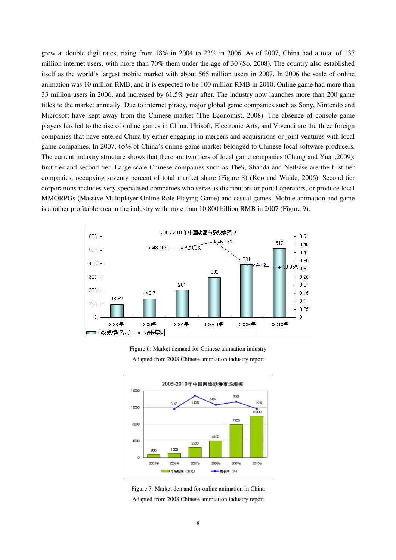grew at double digit rates, rising from 18% in 2004 to 23% in 2006. As of 2007, China had a total of 137 million internet users, with more than 70% them under the age of 30 (So, 2008). The country also established itself as the world's largest mobile market with about 565 million users in 2007. In 2006 the scale of online animation was 10 million RMB, and it is expected to be 100 million RMB in 2010. Online game had more than 33 million users in 2006, and increased by 61.5% year after. The industry now launches more than 200 game titles to the market annually. Due to internet piracy, major global game companies such as Sony, Nintendo and Microsoft have kept away from the Chinese market (The Economist, 2008). The absence of console game players has led to the rise of online games in China. Ubisoft, Electronic Arts, and Vivendi are the three foreign companies that have entered China by either engaging in mergers and acquisitions or joint ventures with local game companies. In 2007, 65% of China's online game market belonged to Chinese local software producers. The current industry structure shows that there are two tiers of local game companies (Chung and Yuan,2009): first tier and second tier. Large-scale Chinese companies such as The9, Shanda and NetEase are the first tier companies, occupying seventy percent of total martket share (Figure 8) (Koo and Waide, 2006). Second tier corporations includes very specialised companies who serve as distributors or portal operators, or produce local MMORPGs (Massive Multiplayer Online Role Playing Game) and casual games. Mobile animation and game is another profitable area in the industry with more than 10.800 billion RMB in 2007 (Figure 9).



Figure 6: Market demand for Chinese animation industry Adapted from 2008 Chinese animiation industry report



Figure 7: Market demand for online animation in China Adapted from 2008 Chinese animiation industry report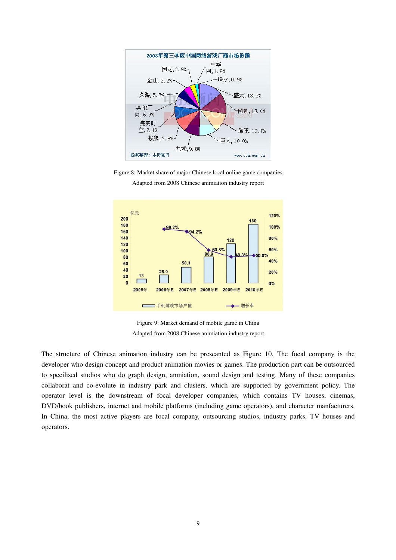

Figure 8: Market share of major Chinese local online game companies Adapted from 2008 Chinese animiation industry report



Figure 9: Market demand of mobile game in China Adapted from 2008 Chinese animiation industry report

The structure of Chinese animation industry can be preseanted as Figure 10. The focal company is the developer who design concept and product animation movies or games. The production part can be outsourced to specilised studios who do graph design, anmiation, sound design and testing. Many of these companies collaborat and co-evolute in industry park and clusters, which are supported by government policy. The operator level is the downstream of focal developer companies, which contains TV houses, cinemas, DVD/book publishers, internet and mobile platforms (including game operators), and character manfacturers. In China, the most active players are focal company, outsourcing studios, industry parks, TV houses and operators.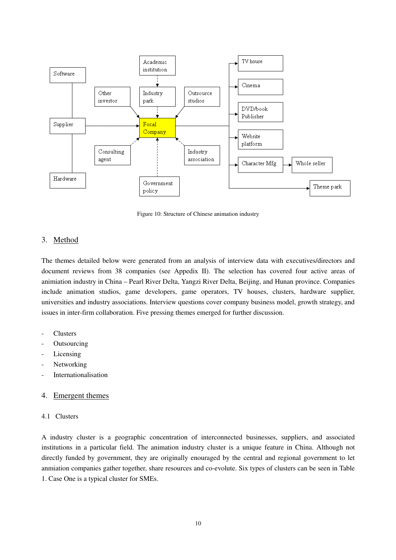

Figure 10: Structure of Chinese animation industry

## 3. Method

The themes detailed below were generated from an analysis of interview data with executives/directors and document reviews from 38 companies (see Appedix II). The selection has covered four active areas of animiation industry in China – Pearl River Delta, Yangzi River Delta, Beijing, and Hunan province. Companies include animation studios, game developers, game operators, TV houses, clusters, hardware supplier, universities and industry associations. Interview questions cover company business model, growth strategy, and issues in inter-firm collaboration. Five pressing themes emerged for further discussion.

- **Clusters**
- **Outsourcing**
- Licensing
- Networking
- **Internationalisation**

## 4. Emergent themes

## 4.1 Clusters

A industry cluster is a geographic concentration of interconnected businesses, suppliers, and associated institutions in a particular field. The animation industry cluster is a unique feature in China. Although not directly funded by government, they are originally enouraged by the central and regional government to let anmiation companies gather together, share resources and co-evolute. Six types of clusters can be seen in Table 1. Case One is a typical cluster for SMEs.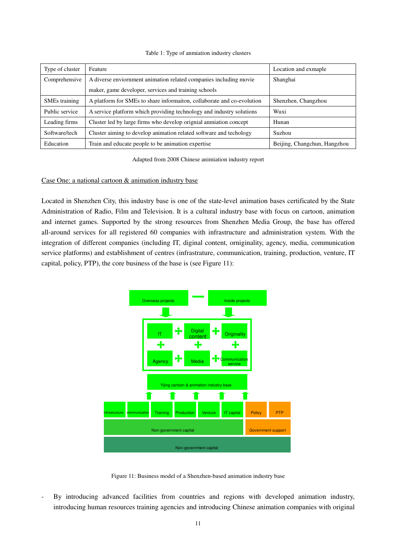| Type of cluster           | Feature                                                                | Location and exmaple         |
|---------------------------|------------------------------------------------------------------------|------------------------------|
| Comprehensive             | A diverse enviornment animation related companies including movie      | Shanghai                     |
|                           | maker, game developer, services and training schools                   |                              |
| SME <sub>s</sub> training | A platform for SMEs to share information, collaborate and co-evolution | Shenzhen, Changzhou          |
| Public service            | A service platform which providing technology and industry solutions   | Wuxi                         |
| Leading firms             | Cluster led by large firms who develop orignial anmiation concept      | Hunan                        |
| Software/tech             | Cluster aiming to develop animation related software and techology     | Suzhou                       |
| Education                 | Train and educate people to be animation expertise                     | Beijing, Changchun, Hangzhou |

#### Table 1: Type of anmiation industry clusters

Adapted from 2008 Chinese animiation industry report

#### Case One: a national cartoon & animation industry base

Located in Shenzhen City, this industry base is one of the state-level animation bases certificated by the State Administration of Radio, Film and Television. It is a cultural industry base with focus on cartoon, animation and internet games. Supported by the strong resources from Shenzhen Media Group, the base has offered all-around services for all registered 60 companies with infrastructure and administration system. With the integration of different companies (including IT, diginal content, orniginality, agency, media, communication service platforms) and establishment of centres (infrastrature, communication, training, production, venture, IT capital, policy, PTP), the core business of the base is (see Figure 11):



Figure 11: Business model of a Shenzhen-based animation industry base

By introducing advanced facilities from countries and regions with developed animation industry, introducing human resources training agencies and introducing Chinese animation companies with original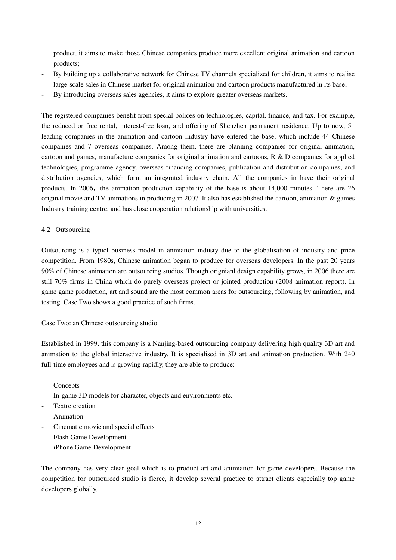product, it aims to make those Chinese companies produce more excellent original animation and cartoon products;

- By building up a collaborative network for Chinese TV channels specialized for children, it aims to realise large-scale sales in Chinese market for original animation and cartoon products manufactured in its base;
- By introducing overseas sales agencies, it aims to explore greater overseas markets.

The registered companies benefit from special polices on technologies, capital, finance, and tax. For example, the reduced or free rental, interest-free loan, and offering of Shenzhen permanent residence. Up to now, 51 leading companies in the animation and cartoon industry have entered the base, which include 44 Chinese companies and 7 overseas companies. Among them, there are planning companies for original animation, cartoon and games, manufacture companies for original animation and cartoons,  $R \& D$  companies for applied technologies, programme agency, overseas financing companies, publication and distribution companies, and distribution agencies, which form an integrated industry chain. All the companies in have their original products. In 2006, the animation production capability of the base is about  $14,000$  minutes. There are 26 original movie and TV animations in producing in 2007. It also has established the cartoon, animation & games Industry training centre, and has close cooperation relationship with universities.

#### 4.2 Outsourcing

Outsourcing is a typicl business model in anmiation industy due to the globalisation of industry and price competition. From 1980s, Chinese animation began to produce for overseas developers. In the past 20 years 90% of Chinese animation are outsourcing studios. Though orignianl design capability grows, in 2006 there are still 70% firms in China which do purely overseas project or jointed production (2008 animation report). In game game production, art and sound are the most common areas for outsourcing, following by animation, and testing. Case Two shows a good practice of such firms.

#### Case Two: an Chinese outsourcing studio

Established in 1999, this company is a Nanjing-based outsourcing company delivering high quality 3D art and animation to the global interactive industry. It is specialised in 3D art and animation production. With 240 full-time employees and is growing rapidly, they are able to produce:

- **Concepts**
- In-game 3D models for character, objects and environments etc.
- Textre creation
- Animation
- Cinematic movie and special effects
- Flash Game Development
- iPhone Game Development

The company has very clear goal which is to product art and animiation for game developers. Because the competition for outsourced studio is fierce, it develop several practice to attract clients especially top game developers globally.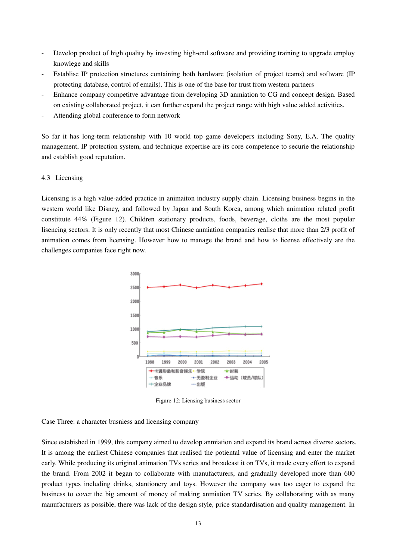- Develop product of high quality by investing high-end software and providing training to upgrade employ knowlege and skills
- Establise IP protection structures containing both hardware (isolation of project teams) and software (IP protecting database, control of emails). This is one of the base for trust from western partners
- Enhance company competitve advantage from developing 3D anmiation to CG and concept design. Based on existing collaborated project, it can further expand the project range with high value added activities.
- Attending global conference to form network

So far it has long-term relationship with 10 world top game developers including Sony, E.A. The quality management, IP protection system, and technique expertise are its core competence to securie the relationship and establish good reputation.

#### 4.3 Licensing

Licensing is a high value-added practice in animaiton industry supply chain. Licensing business begins in the western world like Disney, and followed by Japan and South Korea, among which animation related profit constittute 44% (Figure 12). Children stationary products, foods, beverage, cloths are the most popular lisencing sectors. It is only recently that most Chinese anmiation companies realise that more than 2/3 profit of animation comes from licensing. However how to manage the brand and how to license effectively are the challenges companies face right now.



Figure 12: Liensing business sector

## Case Three: a character busniess and licensing company

Since estabished in 1999, this company aimed to develop anmiation and expand its brand across diverse sectors. It is among the earliest Chinese companies that realised the potiental value of licensing and enter the market early. While producing its original animation TVs series and broadcast it on TVs, it made every effort to expand the brand. From 2002 it began to collaborate with manufacturers, and gradually developed more than 600 product types including drinks, stantionery and toys. However the company was too eager to expand the business to cover the big amount of money of making anmiation TV series. By collaborating with as many manufacturers as possible, there was lack of the design style, price standardisation and quality management. In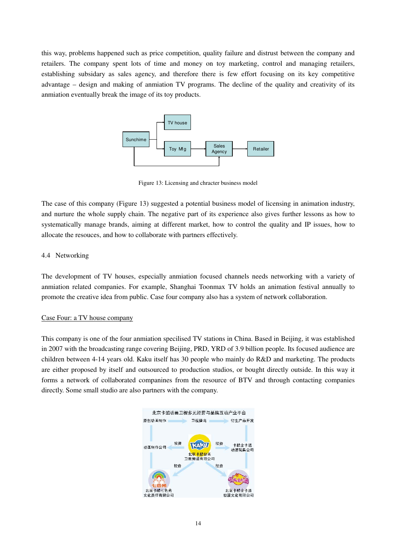this way, problems happened such as price competition, quality failure and distrust between the company and retailers. The company spent lots of time and money on toy marketing, control and managing retailers, establishing subsidary as sales agency, and therefore there is few effort focusing on its key competitive advantage – design and making of anmiation TV programs. The decline of the quality and creativity of its anmiation eventually break the image of its toy products.



Figure 13: Licensing and chracter business model

The case of this company (Figure 13) suggested a potential business model of licensing in animation industry, and nurture the whole supply chain. The negative part of its experience also gives further lessons as how to systematically manage brands, aiming at different market, how to control the quality and IP issues, how to allocate the resouces, and how to collaborate with partners effectively.

## 4.4 Networking

The development of TV houses, especially anmiation focused channels needs networking with a variety of anmiation related companies. For example, Shanghai Toonmax TV holds an animation festival annually to promote the creative idea from public. Case four company also has a system of network collaboration.

## Case Four: a TV house company

This company is one of the four anmiation specilised TV stations in China. Based in Beijing, it was established in 2007 with the broadcasting range covering Beijing, PRD, YRD of 3.9 billion people. Its focused audience are children between 4-14 years old. Kaku itself has 30 people who mainly do R&D and marketing. The products are either proposed by itself and outsourced to production studios, or bought directly outside. In this way it forms a network of collaborated companines from the resource of BTV and through contacting companies directly. Some small studio are also partners with the company.

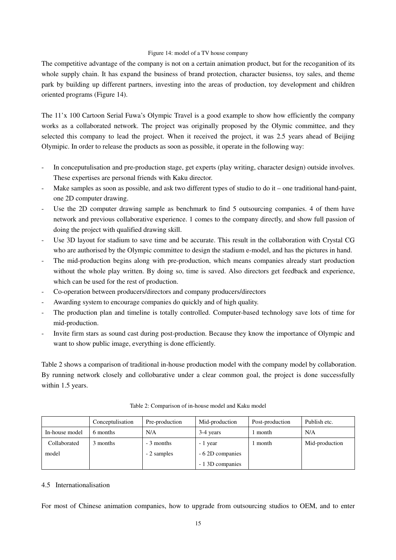#### Figure 14: model of a TV house company

The competitive advantage of the company is not on a certain animation product, but for the recoganition of its whole supply chain. It has expand the business of brand protection, character busienss, toy sales, and theme park by building up different partners, investing into the areas of production, toy development and children oriented programs (Figure 14).

The 11'x 100 Cartoon Serial Fuwa's Olympic Travel is a good example to show how efficiently the company works as a collaborated network. The project was originally proposed by the Olymic committee, and they selected this company to lead the project. When it received the project, it was 2.5 years ahead of Beijing Olymipic. In order to release the products as soon as possible, it operate in the following way:

- In conceputulisation and pre-production stage, get experts (play writing, character design) outside involves. These expertises are personal friends with Kaku director.
- Make samples as soon as possible, and ask two different types of studio to do it one traditional hand-paint, one 2D computer drawing.
- Use the 2D computer drawing sample as benchmark to find 5 outsourcing companies. 4 of them have network and previous collaborative experience. 1 comes to the company directly, and show full passion of doing the project with qualified drawing skill.
- Use 3D layout for stadium to save time and be accurate. This result in the collaboration with Crystal CG who are authorised by the Olympic committee to design the stadium e-model, and has the pictures in hand.
- The mid-production begins along with pre-production, which means companies already start production without the whole play written. By doing so, time is saved. Also directors get feedback and experience, which can be used for the rest of production.
- Co-operation between producers/directors and company producers/directors
- Awarding system to encourage companies do quickly and of high quality.
- The production plan and timeline is totally controlled. Computer-based technology save lots of time for mid-production.
- Invite firm stars as sound cast during post-production. Because they know the importance of Olympic and want to show public image, everything is done efficiently.

Table 2 shows a comparison of traditional in-house production model with the company model by collaboration. By running network closely and collobarative under a clear common goal, the project is done successfully within 1.5 years.

|                | Conceptulisation | Pre-production | Mid-production   | Post-production | Publish etc.   |
|----------------|------------------|----------------|------------------|-----------------|----------------|
| In-house model | 6 months         | N/A            | 3-4 years        | month           | N/A            |
| Collaborated   | 3 months         | - 3 months     | - 1 year         | month           | Mid-production |
| model          |                  | - 2 samples    | - 6.2D companies |                 |                |
|                |                  |                | - 1 3D companies |                 |                |

Table 2: Comparison of in-house model and Kaku model

#### 4.5 Internationalisation

For most of Chinese animation companies, how to upgrade from outsourcing studios to OEM, and to enter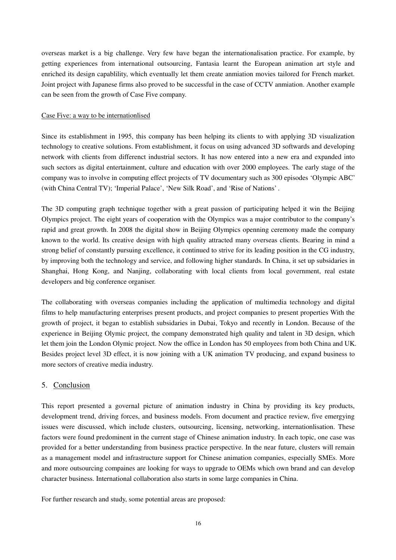overseas market is a big challenge. Very few have began the internationalisation practice. For example, by getting experiences from international outsourcing, Fantasia learnt the European animation art style and enriched its design capablility, which eventually let them create anmiation movies tailored for French market. Joint project with Japanese firms also proved to be successful in the case of CCTV anmiation. Another example can be seen from the growth of Case Five company.

#### Case Five: a way to be internationlised

Since its establishment in 1995, this company has been helping its clients to with applying 3D visualization technology to creative solutions. From establishment, it focus on using advanced 3D softwards and developing network with clients from differenct industrial sectors. It has now entered into a new era and expanded into such sectors as digital entertainment, culture and education with over 2000 employees. The early stage of the company was to involve in computing effect projects of TV documentary such as 300 episodes 'Olympic ABC' (with China Central TV); 'Imperial Palace', 'New Silk Road', and 'Rise of Nations' .

The 3D computing graph technique together with a great passion of participating helped it win the Beijing Olympics project. The eight years of cooperation with the Olympics was a major contributor to the company's rapid and great growth. In 2008 the digital show in Beijing Olympics openning ceremony made the company known to the world. Its creative design with high quality attracted many overseas clients. Bearing in mind a strong belief of constantly pursuing excellence, it continued to strive for its leading position in the CG industry, by improving both the technology and service, and following higher standards. In China, it set up subsidaries in Shanghai, Hong Kong, and Nanjing, collaborating with local clients from local government, real estate developers and big conference organiser.

The collaborating with overseas companies including the application of multimedia technology and digital films to help manufacturing enterprises present products, and project companies to present properties With the growth of project, it began to establish subsidaries in Dubai, Tokyo and recently in London. Because of the experience in Beijing Olymic project, the company demonstrated high quality and talent in 3D design, which let them join the London Olymic project. Now the office in London has 50 employees from both China and UK. Besides project level 3D effect, it is now joining with a UK animation TV producing, and expand business to more sectors of creative media industry.

## 5. Conclusion

This report presented a governal picture of animation industry in China by providing its key products, development trend, driving forces, and business models. From document and practice review, five emergying issues were discussed, which include clusters, outsourcing, licensing, networking, internationlisation. These factors were found predominent in the current stage of Chinese animation industry. In each topic, one case was provided for a better understanding from business practice perspective. In the near future, clusters will remain as a management model and infrastructure support for Chinese animation companies, especially SMEs. More and more outsourcing compaines are looking for ways to upgrade to OEMs which own brand and can develop character business. International collaboration also starts in some large companies in China.

For further research and study, some potential areas are proposed: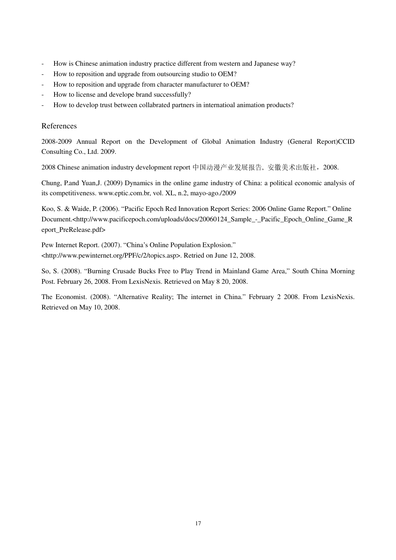- How is Chinese animation industry practice different from western and Japanese way?
- How to reposition and upgrade from outsourcing studio to OEM?
- How to reposition and upgrade from character manufacturer to OEM?
- How to license and develope brand successfully?
- How to develop trust between collabrated partners in internatioal animation products?

## References

2008-2009 Annual Report on the Development of Global Animation Industry (General Report)CCID Consulting Co., Ltd. 2009.

2008 Chinese animation industry development report 中国动漫产业发展报告, 安徽美术出版社, 2008.

Chung, P.and Yuan,J. (2009) Dynamics in the online game industry of China: a political economic analysis of its competitiveness. www.eptic.com.br, vol. XL, n.2, mayo-ago./2009

Koo, S. & Waide, P. (2006). "Pacific Epoch Red Innovation Report Series: 2006 Online Game Report." Online Document.<http://www.pacificepoch.com/uploads/docs/20060124\_Sample\_-\_Pacific\_Epoch\_Online\_Game\_R eport\_PreRelease.pdf>

Pew Internet Report. (2007). "China's Online Population Explosion." <http://www.pewinternet.org/PPF/c/2/topics.asp>. Retried on June 12, 2008.

So, S. (2008). "Burning Crusade Bucks Free to Play Trend in Mainland Game Area," South China Morning Post. February 26, 2008. From LexisNexis. Retrieved on May 8 20, 2008.

The Economist. (2008). "Alternative Reality; The internet in China." February 2 2008. From LexisNexis. Retrieved on May 10, 2008.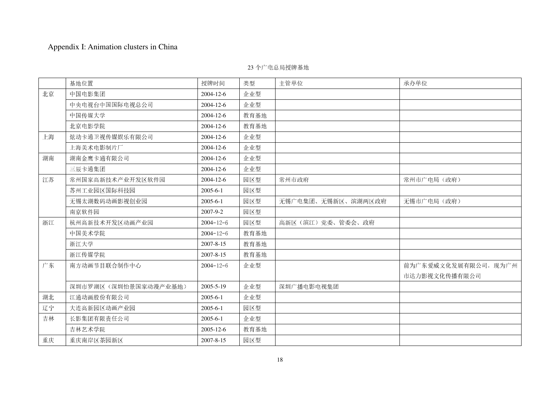## Appendix I: Animation clusters in China

|    | 基地位置                 | 授牌时间            | 类型   | 主管单位               | 承办单位                 |
|----|----------------------|-----------------|------|--------------------|----------------------|
| 北京 | 中国电影集团               | 2004-12-6       | 企业型  |                    |                      |
|    | 中央电视台中国国际电视总公司       | 2004-12-6       | 企业型  |                    |                      |
|    | 中国传媒大学               | 2004-12-6       | 教育基地 |                    |                      |
|    | 北京电影学院               | 2004-12-6       | 教育基地 |                    |                      |
| 上海 | 炫动卡通卫视传媒娱乐有限公司       | 2004-12-6       | 企业型  |                    |                      |
|    | 上海美术电影制片厂            | 2004-12-6       | 企业型  |                    |                      |
| 湖南 | 湖南金鹰卡通有限公司           | 2004-12-6       | 企业型  |                    |                      |
|    | 三辰卡通集团               | 2004-12-6       | 企业型  |                    |                      |
| 江苏 | 常州国家高新技术产业开发区软件园     | 2004-12-6       | 园区型  | 常州市政府              | 常州市广电局(政府)           |
|    | 苏州工业园区国际科技园          | $2005 - 6 - 1$  | 园区型  |                    |                      |
|    | 无锡太湖数码动画影视创业园        | $2005 - 6 - 1$  | 园区型  | 无锡广电集团、无锡新区、滨湖两区政府 | 无锡市广电局(政府)           |
|    | 南京软件园                | 2007-9-2        | 园区型  |                    |                      |
| 浙江 | 杭州高新技术开发区动画产业园       | $2004 - 12 - 6$ | 园区型  | 高新区(滨江)党委、管委会、政府   |                      |
|    | 中国美术学院               | $2004 - 12 - 6$ | 教育基地 |                    |                      |
|    | 浙江大学                 | 2007-8-15       | 教育基地 |                    |                      |
|    | 浙江传媒学院               | 2007-8-15       | 教育基地 |                    |                      |
| 广东 | 南方动画节目联合制作中心         | $2004 - 12 - 6$ | 企业型  |                    | 前为广东爱威文化发展有限公司, 现为广州 |
|    |                      |                 |      |                    | 市达力影视文化传播有限公司        |
|    | 深圳市罗湖区(深圳怡景国家动漫产业基地) | 2005-5-19       | 企业型  | 深圳广播电影电视集团         |                      |
| 湖北 | 江通动画股份有限公司           | $2005 - 6 - 1$  | 企业型  |                    |                      |
| 辽宁 | 大连高新园区动画产业园          | $2005 - 6 - 1$  | 园区型  |                    |                      |
| 吉林 | 长影集团有限责任公司           | $2005 - 6 - 1$  | 企业型  |                    |                      |
|    | 吉林艺术学院               | 2005-12-6       | 教育基地 |                    |                      |
| 重庆 | 重庆南岸区茶园新区            | 2007-8-15       | 园区型  |                    |                      |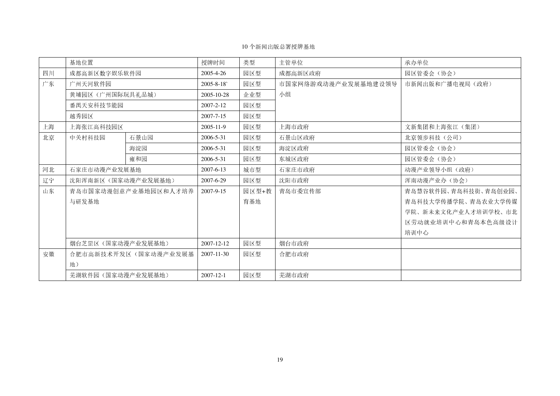## 10 个新闻出版总署授牌基地

|    | 基地位置                 |                      | 授牌时间            | 类型    | 主管单位                | 承办单位                 |
|----|----------------------|----------------------|-----------------|-------|---------------------|----------------------|
| 四川 | 成都高新区数字娱乐软件园         |                      | $2005 - 4 - 26$ | 园区型   | 成都高新区政府             | 园区管委会(协会)            |
| 广东 | 广州天河软件园              |                      | $2005 - 8 - 18$ | 园区型   | 市国家网络游戏动漫产业发展基地建设领导 | 市新闻出版和广播电视局(政府)      |
|    | 黄埔园区(广州国际玩具礼品城)      |                      | 2005-10-28      | 企业型   | 小组                  |                      |
|    | 番禺天安科技节能园            |                      | $2007 - 2 - 12$ | 园区型   |                     |                      |
|    | 越秀园区                 |                      | 2007-7-15       | 园区型   |                     |                      |
| 上海 | 上海张江高科技园区            |                      | 2005-11-9       | 园区型   | 上海市政府               | 文新集团和上海张江(集团)        |
| 北京 | 中关村科技园               | 石景山园                 | 2006-5-31       | 园区型   | 石景山区政府              | 北京领步科技(公司)           |
|    |                      | 海淀园                  | 2006-5-31       | 园区型   | 海淀区政府               | 园区管委会(协会)            |
|    |                      | 雍和园                  | 2006-5-31       | 园区型   | 东城区政府               | 园区管委会(协会)            |
| 河北 | 石家庄市动漫产业发展基地         |                      | 2007-6-13       | 城市型   | 石家庄市政府              | 动漫产业领导小组(政府)         |
| 辽宁 | 沈阳浑南新区(国家动漫产业发展基地)   |                      | 2007-6-29       | 园区型   | 沈阳市政府               | 浑南动漫产业办(协会)          |
| 山东 | 青岛市国家动漫创意产业基地园区和人才培养 |                      | 2007-9-15       | 园区型+教 | 青岛市委宣传部             | 青岛慧谷软件园、青岛科技街、青岛创业园、 |
|    | 与研发基地                |                      |                 | 育基地   |                     | 青岛科技大学传播学院、青岛农业大学传媒  |
|    |                      |                      |                 |       |                     | 学院、新未来文化产业人才培训学校、市北  |
|    |                      |                      |                 |       |                     | 区劳动就业培训中心和青岛本色高级设计   |
|    |                      |                      |                 |       |                     | 培训中心                 |
|    | 烟台芝罡区(国家动漫产业发展基地)    |                      | 2007-12-12      | 园区型   | 烟台市政府               |                      |
| 安徽 |                      | 合肥市高新技术开发区(国家动漫产业发展基 | 2007-11-30      | 园区型   | 合肥市政府               |                      |
|    | 地)                   |                      |                 |       |                     |                      |
|    | 芜湖软件园(国家动漫产业发展基地)    |                      | $2007 - 12 - 1$ | 园区型   | 芜湖市政府               |                      |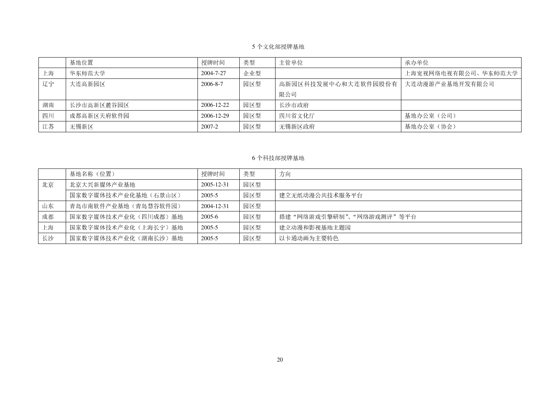## 5 个文化部授牌基地

|    | 基地位置       | 授牌时间       | 类型  | 主管单位                | 承办单位                |
|----|------------|------------|-----|---------------------|---------------------|
| 上海 | 华东师范大学     | 2004-7-27  | 企业型 |                     | 上海宽视网络电视有限公司、华东师范大学 |
| 辽宁 | 大连高新园区     | 2006-8-7   | 园区型 | 高新园区科技发展中心和大连软件园股份有 | 大连动漫游产业基地开发有限公司     |
|    |            |            |     | 限公司                 |                     |
| 湖南 | 长沙市高新区麓谷园区 | 2006-12-22 | 园区型 | 长沙市政府               |                     |
| 四川 | 成都高新区天府软件园 | 2006-12-29 | 园区型 | 四川省文化厅              | 基地办公室 (公司)          |
| 江苏 | 无锡新区       | 2007-2     | 园区型 | 无锡新区政府              | 基地办公室(协会)           |

## 6 个科技部授牌基地

|    | 基地名称(位置)             | 授牌时间       | 类型  | 方向                       |
|----|----------------------|------------|-----|--------------------------|
| 北京 | 北京大兴新媒体产业基地          | 2005-12-31 | 园区型 |                          |
|    | 国家数字媒体技术产业化基地 (石景山区) | 2005-5     | 园区型 | 建立无纸动漫公共技术服务平台           |
| 山东 | 青岛市南软件产业基地(青岛慧谷软件园)  | 2004-12-31 | 园区型 |                          |
| 成都 | 国家数字媒体技术产业化(四川成都)基地  | 2005-6     | 园区型 | 搭建"网络游戏引擎研制"、"网络游戏测评"等平台 |
| 上海 | 国家数字媒体技术产业化(上海长宁)基地  | 2005-5     | 园区型 | 建立动漫和影视基地主题园             |
| 长沙 | 国家数字媒体技术产业化(湖南长沙)基地  | 2005-5     | 园区型 | 以卡通动画为主要特色               |